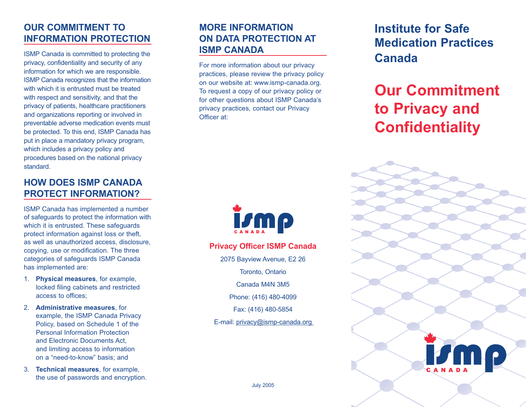# **OUR COMMITMENT TO INFORMATION PROTECTION**

ISMP Canada is committed to protecting the privacy, confidentiality and security of any information for which we are responsible. ISMP Canada recognizes that the information with which it is entrusted must be treated with respect and sensitivity, and that the privacy of patients, healthcare practitioners and organizations reporting or involved in preventable adverse medication events must be protected. To this end, ISMP Canada has put in place a mandatory privacy program, which includes a privacy policy and procedures based on the national privacy standard.

# **HOW DOES ISMP CANADA PROTECT INFORMATION?**

ISMP Canada has implemented a number of safeguards to protect the information with which it is entrusted. These safeguards protect information against loss or theft, as well as unauthorized access, disclosure, copying, use or modification. The three categories of safeguards ISMP Canada has implemented are:

- 1. **Physical measures**, for example, locked filing cabinets and restricted access to offices;
- 2. **Administrative measures**, for example, the ISMP Canada Privacy Policy, based on Schedule 1 of the Personal Information Protection and Electronic Documents Act, and limiting access to information on a "need-to-know" basis; and
- 3. **Technical measures**, for example, the use of passwords and encryption.

# **MORE INFORMATION ON DATA PROTECTION AT ISMP CANADA**

For more information about our privacy practices, please review the privacy policy on our website at: www.ismp-canada.org. To request a copy of our privacy policy or for other questions about ISMP Canada's privacy practices, contact our Privacy Officer at:



**Privacy Officer ISMP Canada**

2075 Bayview Avenue, E2 26

Toronto, Ontario

Canada M4N 3M5

Phone: (416) 480-4099

Fax: (416) 480-5854

E-mail: privacy@ismp-canada.org

# **Institute for Safe Medication Practices Canada**

# **Our Commitment to Privacy and Confidentiality**



July 2005